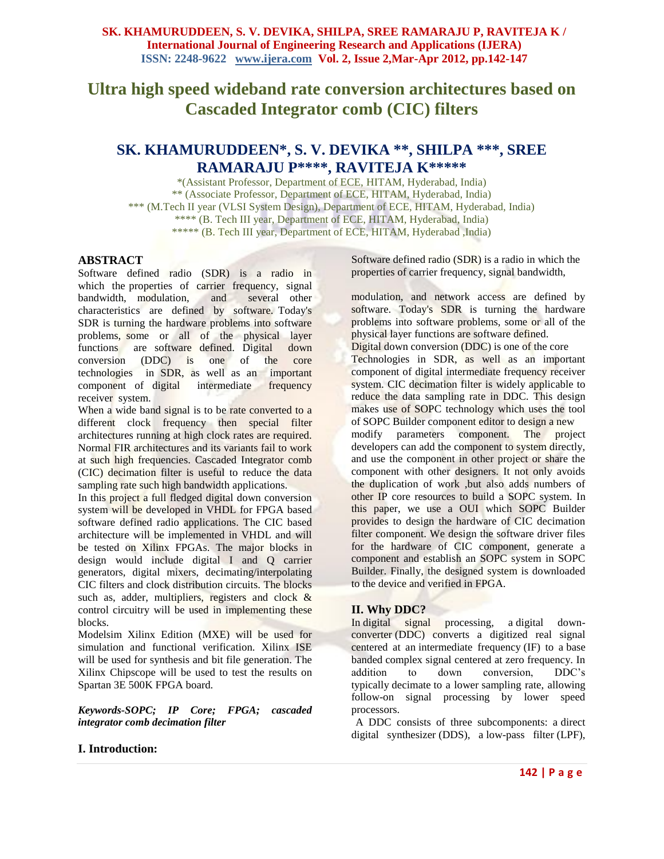# **Ultra high speed wideband rate conversion architectures based on Cascaded Integrator comb (CIC) filters**

## **SK. KHAMURUDDEEN\*, S. V. DEVIKA \*\*, SHILPA \*\*\*, SREE RAMARAJU P\*\*\*\*, RAVITEJA K\*\*\*\*\***

\*(Assistant Professor, Department of ECE, HITAM, Hyderabad, India) \*\* (Associate Professor, Department of ECE, HITAM, Hyderabad, India) \*\*\* (M.Tech II year (VLSI System Design), Department of ECE, HITAM, Hyderabad, India) \*\*\*\* (B. Tech III year, Department of ECE, HITAM, Hyderabad, India) \*\*\*\*\* (B. Tech III year, Department of ECE, HITAM, Hyderabad ,India)

#### **ABSTRACT**

Software defined radio (SDR) is a radio in which the properties of carrier frequency, signal<br>bandwidth, modulation, and several other bandwidth, modulation, and characteristics are defined by software. Today's SDR is turning the hardware problems into software problems, some or all of the physical layer functions are software defined. Digital down conversion (DDC) is one of the core technologies in SDR, as well as an important component of digital intermediate frequency receiver system.

When a wide band signal is to be rate converted to a different clock frequency then special filter architectures running at high clock rates are required. Normal FIR architectures and its variants fail to work at such high frequencies. Cascaded Integrator comb (CIC) decimation filter is useful to reduce the data sampling rate such high bandwidth applications.

In this project a full fledged digital down conversion system will be developed in VHDL for FPGA based software defined radio applications. The CIC based architecture will be implemented in VHDL and will be tested on Xilinx FPGAs. The major blocks in design would include digital I and Q carrier generators, digital mixers, decimating/interpolating CIC filters and clock distribution circuits. The blocks such as, adder, multipliers, registers and clock  $\&$ control circuitry will be used in implementing these blocks.

Modelsim Xilinx Edition (MXE) will be used for simulation and functional verification. Xilinx ISE will be used for synthesis and bit file generation. The Xilinx Chipscope will be used to test the results on Spartan 3E 500K FPGA board.

*Keywords-SOPC; IP Core; FPGA; cascaded integrator comb decimation filter*

### **I. Introduction:**

Software defined radio (SDR) is a radio in which the properties of carrier frequency, signal bandwidth,

modulation, and network access are defined by software. Today's SDR is turning the hardware problems into software problems, some or all of the physical layer functions are software defined. Digital down conversion (DDC) is one of the core Technologies in SDR, as well as an important component of digital intermediate frequency receiver system. CIC decimation filter is widely applicable to reduce the data sampling rate in DDC. This design makes use of SOPC technology which uses the tool of SOPC Builder component editor to design a new modify parameters component. The project developers can add the component to system directly, and use the component in other project or share the component with other designers. It not only avoids the duplication of work ,but also adds numbers of other IP core resources to build a SOPC system. In this paper, we use a OUI which SOPC Builder provides to design the hardware of CIC decimation filter component. We design the software driver files for the hardware of CIC component, generate a component and establish an SOPC system in SOPC Builder. Finally, the designed system is downloaded to the device and verified in FPGA.

### **II. Why DDC?**

In [digital signal processing,](http://en.wikipedia.org/wiki/Digital_signal_processing) a digital downconverter (DDC) converts a digitized real signal centered at an [intermediate frequency](http://en.wikipedia.org/wiki/Intermediate_frequency) (IF) to a [base](http://en.wikipedia.org/wiki/Baseband)  [banded](http://en.wikipedia.org/wiki/Baseband) complex signal centered at zero frequency. In addition to down conversion, DDC's typically [decimate](http://en.wikipedia.org/wiki/Decimation_(signal_processing)) to a lower [sampling rate,](http://en.wikipedia.org/wiki/Sampling_rate) allowing follow-on signal processing by lower speed processors.

 A DDC consists of three subcomponents: a [direct](http://en.wikipedia.org/wiki/Direct_digital_synthesizer)  [digital synthesizer](http://en.wikipedia.org/wiki/Direct_digital_synthesizer) (DDS), a [low-pass filter](http://en.wikipedia.org/wiki/Low-pass_filter) (LPF),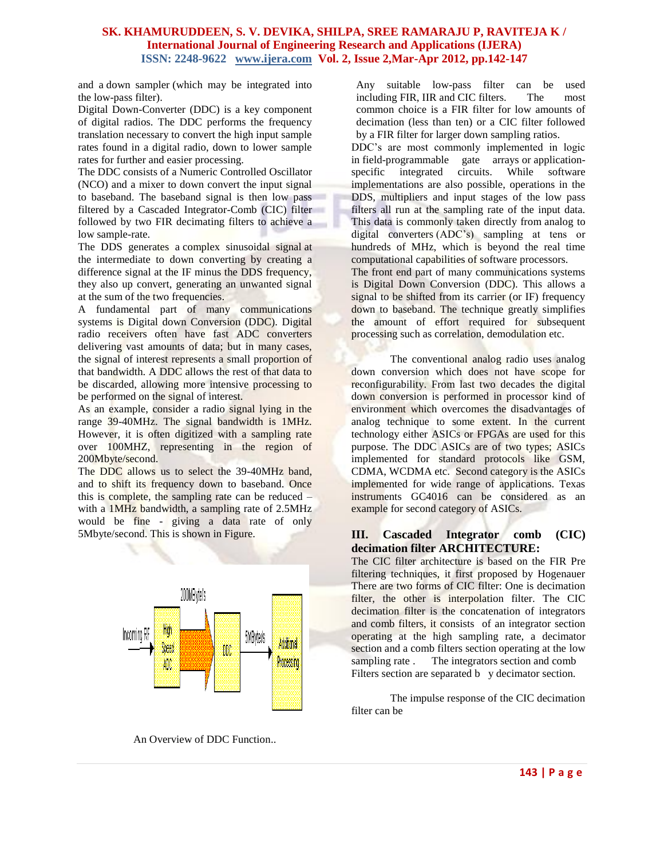and a [down sampler](http://en.wikipedia.org/wiki/Downsampling) (which may be integrated into the low-pass filter).

Digital Down-Converter (DDC) is a key component of digital radios. The DDC performs the frequency translation necessary to convert the high input sample rates found in a digital radio, down to lower sample rates for further and easier processing.

The DDC consists of a Numeric Controlled Oscillator (NCO) and a mixer to down convert the input signal to baseband. The baseband signal is then low pass filtered by a Cascaded Integrator-Comb (CIC) filter followed by two FIR decimating filters to achieve a low sample-rate.

The DDS generates a [complex sinusoida](http://en.wikipedia.org/wiki/Negative_frequency#Complex_sinusoids)l signal at the intermediate to down converting by creating a difference signal at the IF minus the DDS frequency, they also up convert, generating an unwanted signal at the sum of the two frequencies.

A fundamental part of many communications systems is Digital down Conversion (DDC). Digital radio receivers often have fast ADC converters delivering vast amounts of data; but in many cases, the signal of interest represents a small proportion of that bandwidth. A DDC allows the rest of that data to be discarded, allowing more intensive processing to be performed on the signal of interest.

As an example, consider a radio signal lying in the range 39-40MHz. The signal bandwidth is 1MHz. However, it is often digitized with a sampling rate over 100MHZ, representing in the region of 200Mbyte/second.

The DDC allows us to select the 39-40MHz band, and to shift its frequency down to baseband. Once this is complete, the sampling rate can be reduced – with a 1MHz bandwidth, a sampling rate of 2.5MHz would be fine - giving a data rate of only 5Mbyte/second. This is shown in Figure.



An Overview of DDC Function..

Any suitable low-pass filter can be used including [FIR,](http://en.wikipedia.org/wiki/Finite_impulse_response) [IIR](http://en.wikipedia.org/wiki/IIR) and [CIC](http://en.wikipedia.org/wiki/Cascaded_integrator-comb) filters. The most common choice is a FIR filter for low amounts of decimation (less than ten) or a CIC filter followed by a FIR filter for larger down sampling ratios.

DDC's are most commonly implemented in logic in [field-programmable gate arrays](http://en.wikipedia.org/wiki/Field-programmable_gate_array) or application-<br>specific integrated circuits. While software [specific integrated circuits.](http://en.wikipedia.org/wiki/Application-specific_integrated_circuit) While software implementations are also possible, operations in the DDS, multipliers and input stages of the low pass filters all run at the sampling rate of the input data. This data is commonly taken directly from [analog to](http://en.wikipedia.org/wiki/Analog_to_digital_converter)  [digital converters](http://en.wikipedia.org/wiki/Analog_to_digital_converter) (ADC's) sampling at tens or hundreds of MHz, which is beyond the real time computational capabilities of software processors.

The front end part of many communications systems is Digital Down Conversion (DDC). This allows a signal to be shifted from its carrier (or IF) frequency down to baseband. The technique greatly simplifies the amount of effort required for subsequent processing such as correlation, demodulation etc.

The conventional analog radio uses analog down conversion which does not have scope for reconfigurability. From last two decades the digital down conversion is performed in processor kind of environment which overcomes the disadvantages of analog technique to some extent. In the current technology either ASICs or FPGAs are used for this purpose. The DDC ASICs are of two types; ASICs implemented for standard protocols like GSM, CDMA, WCDMA etc. Second category is the ASICs implemented for wide range of applications. Texas instruments GC4016 can be considered as an example for second category of ASICs.

#### **III. Cascaded Integrator comb (CIC) decimation filter ARCHITECTURE:**

The CIC filter architecture is based on the FIR Pre filtering techniques, it first proposed by Hogenauer There are two forms of CIC filter: One is decimation filter, the other is interpolation filter. The CIC decimation filter is the concatenation of integrators and comb filters, it consists of an integrator section operating at the high sampling rate, a decimator section and a comb filters section operating at the low sampling rate . The integrators section and comb Filters section are separated b y decimator section.

The impulse response of the CIC decimation filter can be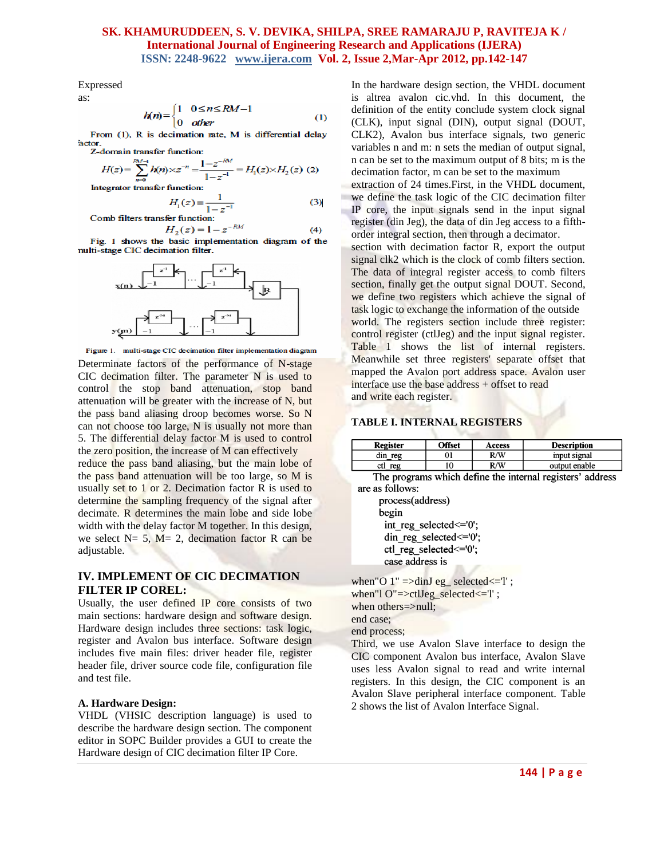$(4)$ 

Expressed as:

$$
h(n) = \begin{cases} 1 & 0 \le n \le RM - 1 \\ 0 & \text{other} \end{cases} \tag{1}
$$

From (1), R is decimation rate, M is differential delay factor.

Z-domain transfer function:

$$
H(z) = \sum_{n=0}^{RM-1} h(n) \times z^{-n} = \frac{1 - z^{-1}}{1 - z^{-1}} = H_1(z) \times H_2(z)
$$
 (2)  
Integrate *r* transfer function:

 $H_{\rm i}$ 

$$
H_1(z) = \frac{1}{1 - z^{-1}}
$$
 (3)  
Comb filters transfer function:

 $H_2(z) = 1 - z^{-RM}$ 

Fig. 1 shows the basic implementation diagram of the nulti-stage CIC decimation filter.



Figure 1. multi-stage CIC decimation filter implementation diagram Determinate factors of the performance of N-stage CIC decimation filter. The parameter N is used to control the stop band attenuation, stop band attenuation will be greater with the increase of N, but the pass band aliasing droop becomes worse. So N can not choose too large, N is usually not more than 5. The differential delay factor M is used to control the zero position, the increase of M can effectively reduce the pass band aliasing, but the main lobe of the pass band attenuation will be too large, so M is usually set to 1 or 2. Decimation factor R is used to determine the sampling frequency of the signal after

decimate. R determines the main lobe and side lobe width with the delay factor M together. In this design, we select  $N= 5$ ,  $M= 2$ , decimation factor R can be adjustable.

#### **IV. IMPLEMENT OF CIC DECIMATION FILTER IP COREL:**

Usually, the user defined IP core consists of two main sections: hardware design and software design. Hardware design includes three sections: task logic, register and Avalon bus interface. Software design includes five main files: driver header file, register header file, driver source code file, configuration file and test file.

#### **A. Hardware Design:**

VHDL (VHSIC description language) is used to describe the hardware design section. The component editor in SOPC Builder provides a GUI to create the Hardware design of CIC decimation filter IP Core.

In the hardware design section, the VHDL document is altrea avalon cic.vhd. In this document, the definition of the entity conclude system clock signal (CLK), input signal (DIN), output signal (DOUT, CLK2), Avalon bus interface signals, two generic variables n and m: n sets the median of output signal, n can be set to the maximum output of 8 bits; m is the decimation factor, m can be set to the maximum

extraction of 24 times.First, in the VHDL document, we define the task logic of the CIC decimation filter IP core, the input signals send in the input signal register (din Jeg), the data of din Jeg access to a fifthorder integral section, then through a decimator.

section with decimation factor R, export the output signal clk2 which is the clock of comb filters section. The data of integral register access to comb filters section, finally get the output signal DOUT. Second, we define two registers which achieve the signal of task logic to exchange the information of the outside world. The registers section include three register: control register (ctlJeg) and the input signal register. Table 1 shows the list of internal registers. Meanwhile set three registers' separate offset that mapped the Avalon port address space. Avalon user interface use the base address + offset to read and write each register.

#### **TABLE I. INTERNAL REGISTERS**

| Register | <b>Offset</b> | Access | <b>Description</b> |
|----------|---------------|--------|--------------------|
| din reg  |               | R/W    | input signal       |
| ctl reg  |               | R/W    | output enable      |

The programs which define the internal registers' address are as follows:

process(address) begin int reg selected <= '0'; din reg selected <= '0'; ctl reg selected <= '0'; case address is

when"O  $1" = \text{dimJ eg}$  selected $\leq$ "; when"l O"=>ctlJeg\_selected<='l'; when others=>null; end case; end process;

Third, we use Avalon Slave interface to design the CIC component Avalon bus interface, Avalon Slave uses less Avalon signal to read and write internal registers. In this design, the CIC component is an Avalon Slave peripheral interface component. Table 2 shows the list of Avalon Interface Signal.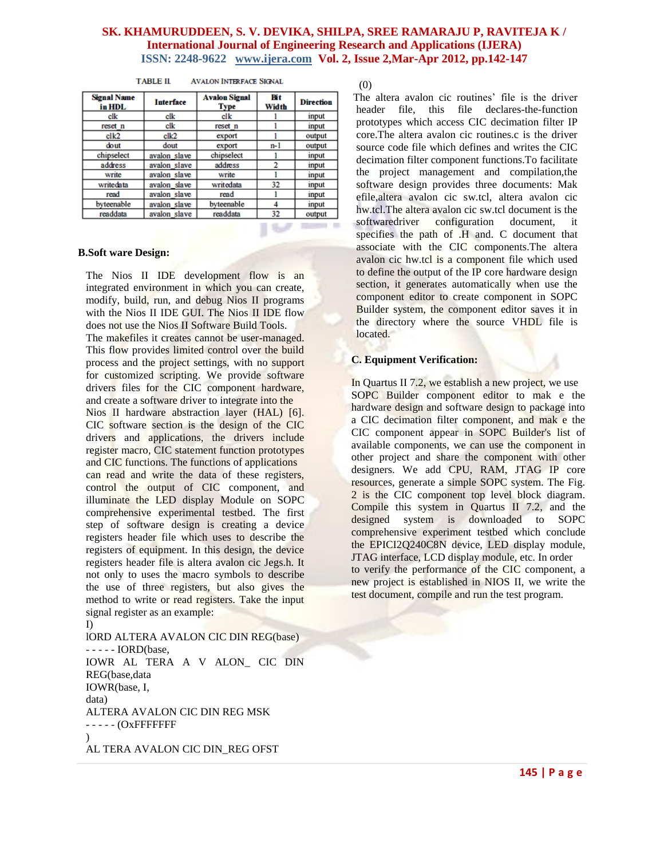| <b>Signal Name</b><br>in HDL | <b>Interface</b>  | <b>Avalon Signal</b><br><b>Type</b> | Bit<br>Width | <b>Direction</b> |
|------------------------------|-------------------|-------------------------------------|--------------|------------------|
| clk                          | clk               | clk                                 |              | input            |
| reset n                      | clk               | reset n                             |              | input            |
| clk2                         | $c$ <sub>k2</sub> | export                              |              | output           |
| dout                         | dout              | export                              | $n-1$        | output           |
| chipselect                   | avalon slave      | chipselect                          |              | input            |
| address                      | avalon slave      | address                             | 2            | input            |
| write                        | avalon slave      | write                               |              | input            |
| writedata                    | avalon slave      | writedata                           | 32           | input            |
| read                         | avalon slave      | read                                |              | input            |
| byteenable                   | avalon slave      | byteenable                          | 4            | input            |
| readdata                     | avalon slave      | readdata                            | 32           | output           |

#### **TABLE II AVALON INTERFACE SIGNAL**

#### **B.Soft ware Design:**

The Nios II IDE development flow is an integrated environment in which you can create, modify, build, run, and debug Nios II programs with the Nios II IDE GUI. The Nios II IDE flow does not use the Nios II Software Build Tools. The makefiles it creates cannot be user-managed. This flow provides limited control over the build process and the project settings, with no support for customized scripting. We provide software drivers files for the CIC component hardware, and create a software driver to integrate into the Nios II hardware abstraction layer (HAL) [6]. CIC software section is the design of the CIC drivers and applications, the drivers include register macro, CIC statement function prototypes and CIC functions. The functions of applications can read and write the data of these registers, control the output of CIC component, and illuminate the LED display Module on SOPC comprehensive experimental testbed. The first step of software design is creating a device registers header file which uses to describe the registers of equipment. In this design, the device registers header file is altera avalon cic Jegs.h. It not only to uses the macro symbols to describe the use of three registers, but also gives the method to write or read registers. Take the input signal register as an example: I)

lORD ALTERA AVALON CIC DIN REG(base) - - - - - IORD(base, IOWR AL TERA A V ALON\_ CIC DIN REG(base,data IOWR(base, I, data) ALTERA AVALON CIC DIN REG MSK - - - - - (OxFFFFFFF  $\lambda$ AL TERA AVALON CIC DIN\_REG OFST

(0)

The altera avalon cic routines' file is the driver header file, this file declares-the-function prototypes which access CIC decimation filter IP core.The altera avalon cic routines.c is the driver source code file which defines and writes the CIC decimation filter component functions.To facilitate the project management and compilation,the software design provides three documents: Mak efile,altera avalon cic sw.tcl, altera avalon cic hw.tcl.The altera avalon cic sw.tcl document is the softwaredriver configuration document, it specifies the path of .H and. C document that associate with the CIC components.The altera avalon cic hw.tcl is a component file which used to define the output of the IP core hardware design section, it generates automatically when use the component editor to create component in SOPC Builder system, the component editor saves it in the directory where the source VHDL file is located.

#### **C. Equipment Verification:**

In Quartus II 7.2, we establish a new project, we use SOPC Builder component editor to mak e the hardware design and software design to package into a CIC decimation filter component, and mak e the CIC component appear in SOPC Builder's list of available components, we can use the component in other project and share the component with other designers. We add CPU, RAM, JTAG IP core resources, generate a simple SOPC system. The Fig. 2 is the CIC component top level block diagram. Compile this system in Quartus II 7.2, and the designed system is downloaded to SOPC comprehensive experiment testbed which conclude the EPICI2Q240C8N device, LED display module, JTAG interface, LCD display module, etc. In order to verify the performance of the CIC component, a new project is established in NIOS II, we write the test document, compile and run the test program.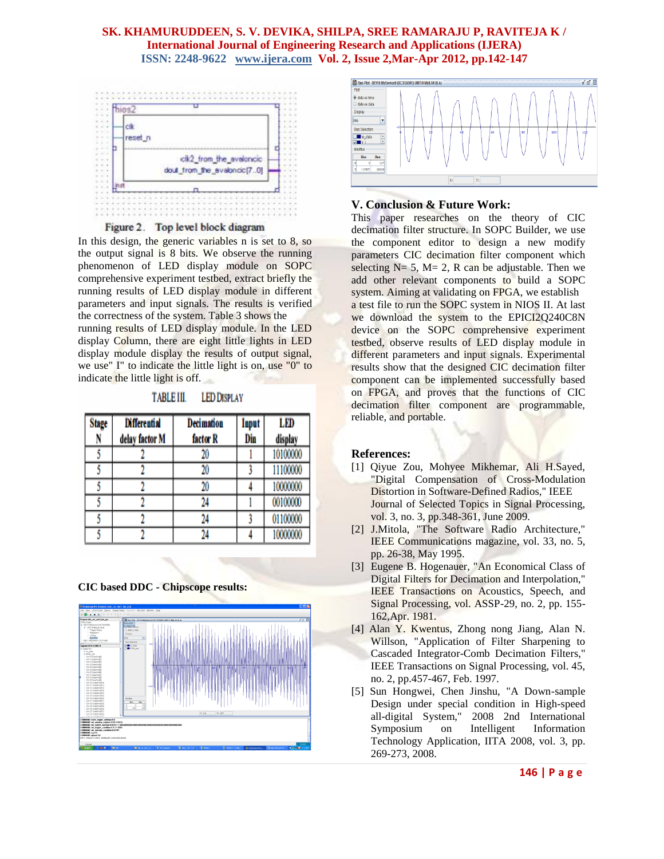

Figure 2. Top level block diagram

In this design, the generic variables n is set to 8, so the output signal is 8 bits. We observe the running phenomenon of LED display module on SOPC comprehensive experiment testbed, extract briefly the running results of LED display module in different parameters and input signals. The results is verified the correctness of the system. Table 3 shows the

running results of LED display module. In the LED display Column, there are eight little lights in LED display module display the results of output signal, we use" I" to indicate the little light is on, use "0" to indicate the little light is off.

**TABLE III. LED DISPLAY** 

| <b>Stage</b> | <b>Differential</b> | <b>Decimation</b> | Input | LED      |
|--------------|---------------------|-------------------|-------|----------|
|              | delay factor M      | factor R          | Din   | display  |
|              |                     | 20                |       | 10100000 |
|              |                     | 20                |       | 11100000 |
|              |                     | 20                |       | 10000000 |
|              |                     | 24                |       | 00100000 |
|              |                     | 24                |       | 01100000 |
|              |                     | 24                |       | 10000000 |

#### **CIC based DDC - Chipscope results:**





#### **V. Conclusion & Future Work:**

This paper researches on the theory of CIC decimation filter structure. In SOPC Builder, we use the component editor to design a new modify parameters CIC decimation filter component which selecting  $N= 5$ ,  $M= 2$ , R can be adjustable. Then we add other relevant components to build a SOPC system. Aiming at validating on FPGA, we establish a test file to run the SOPC system in NIOS II. At last we download the system to the EPICI2Q240C8N device on the SOPC comprehensive experiment testbed, observe results of LED display module in different parameters and input signals. Experimental results show that the designed CIC decimation filter component can be implemented successfully based on FPGA, and proves that the functions of CIC decimation filter component are programmable, reliable, and portable.

#### **References:**

- [1] Qiyue Zou, Mohyee Mikhemar, Ali H.Sayed, "Digital Compensation of Cross-Modulation Distortion in Software-Defined Radios," IEEE Journal of Selected Topics in Signal Processing, vol. 3, no. 3, pp.348-361, June 2009.
- [2] J.Mitola, "The Software Radio Architecture," IEEE Communications magazine, vol. 33, no. 5, pp. 26-38, May 1995.
- [3] Eugene B. Hogenauer, "An Economical Class of Digital Filters for Decimation and Interpolation," IEEE Transactions on Acoustics, Speech, and Signal Processing, vol. ASSP-29, no. 2, pp. 155- 162,Apr. 1981.
- [4] Alan Y. Kwentus, Zhong nong Jiang, Alan N. Willson, "Application of Filter Sharpening to Cascaded Integrator-Comb Decimation Filters," IEEE Transactions on Signal Processing, vol. 45, no. 2, pp.457-467, Feb. 1997.
- [5] Sun Hongwei, Chen Jinshu, "A Down-sample Design under special condition in High-speed all-digital System," 2008 2nd International Symposium on Intelligent Information Technology Application, IITA 2008, vol. 3, pp. 269-273, 2008.